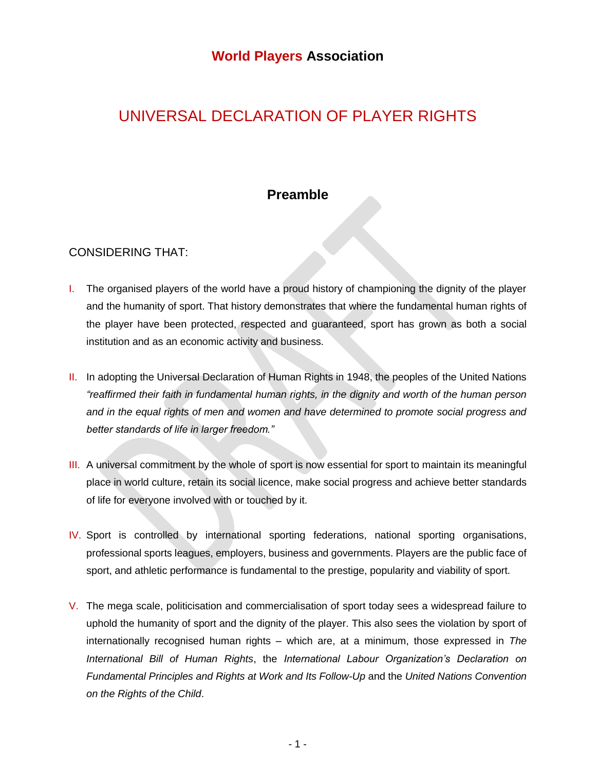# UNIVERSAL DECLARATION OF PLAYER RIGHTS

## **Preamble**

## CONSIDERING THAT:

- I. The organised players of the world have a proud history of championing the dignity of the player and the humanity of sport. That history demonstrates that where the fundamental human rights of the player have been protected, respected and guaranteed, sport has grown as both a social institution and as an economic activity and business.
- II. In adopting the Universal Declaration of Human Rights in 1948, the peoples of the United Nations *"reaffirmed their faith in fundamental human rights, in the dignity and worth of the human person and in the equal rights of men and women and have determined to promote social progress and better standards of life in larger freedom."*
- III. A universal commitment by the whole of sport is now essential for sport to maintain its meaningful place in world culture, retain its social licence, make social progress and achieve better standards of life for everyone involved with or touched by it.
- IV. Sport is controlled by international sporting federations, national sporting organisations, professional sports leagues, employers, business and governments. Players are the public face of sport, and athletic performance is fundamental to the prestige, popularity and viability of sport.
- V. The mega scale, politicisation and commercialisation of sport today sees a widespread failure to uphold the humanity of sport and the dignity of the player. This also sees the violation by sport of internationally recognised human rights – which are, at a minimum, those expressed in *The International Bill of Human Rights*, the *International Labour Organization's Declaration on Fundamental Principles and Rights at Work and Its Follow-Up* and the *United Nations Convention on the Rights of the Child*.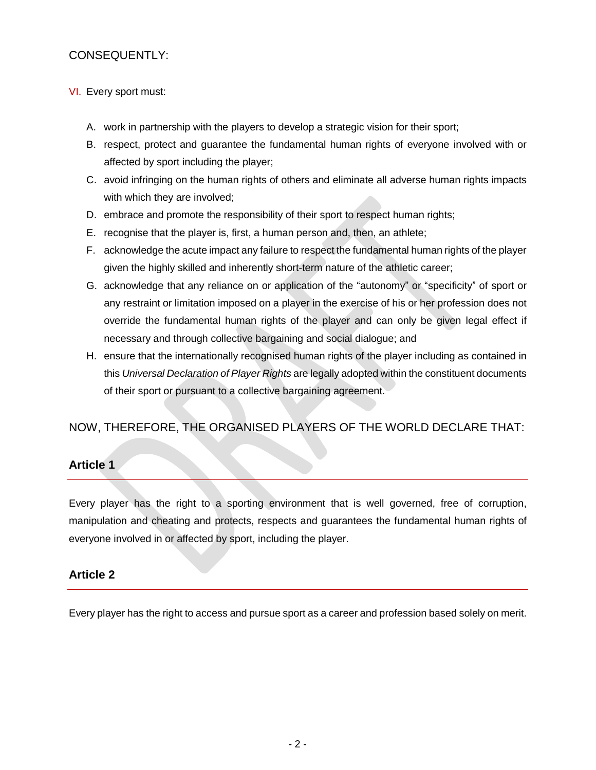## CONSEQUENTLY:

#### VI. Every sport must:

- A. work in partnership with the players to develop a strategic vision for their sport;
- B. respect, protect and guarantee the fundamental human rights of everyone involved with or affected by sport including the player;
- C. avoid infringing on the human rights of others and eliminate all adverse human rights impacts with which they are involved;
- D. embrace and promote the responsibility of their sport to respect human rights;
- E. recognise that the player is, first, a human person and, then, an athlete;
- F. acknowledge the acute impact any failure to respect the fundamental human rights of the player given the highly skilled and inherently short-term nature of the athletic career;
- G. acknowledge that any reliance on or application of the "autonomy" or "specificity" of sport or any restraint or limitation imposed on a player in the exercise of his or her profession does not override the fundamental human rights of the player and can only be given legal effect if necessary and through collective bargaining and social dialogue; and
- H. ensure that the internationally recognised human rights of the player including as contained in this *Universal Declaration of Player Rights* are legally adopted within the constituent documents of their sport or pursuant to a collective bargaining agreement.

## NOW, THEREFORE, THE ORGANISED PLAYERS OF THE WORLD DECLARE THAT:

## **Article 1**

Every player has the right to a sporting environment that is well governed, free of corruption, manipulation and cheating and protects, respects and guarantees the fundamental human rights of everyone involved in or affected by sport, including the player.

## **Article 2**

Every player has the right to access and pursue sport as a career and profession based solely on merit.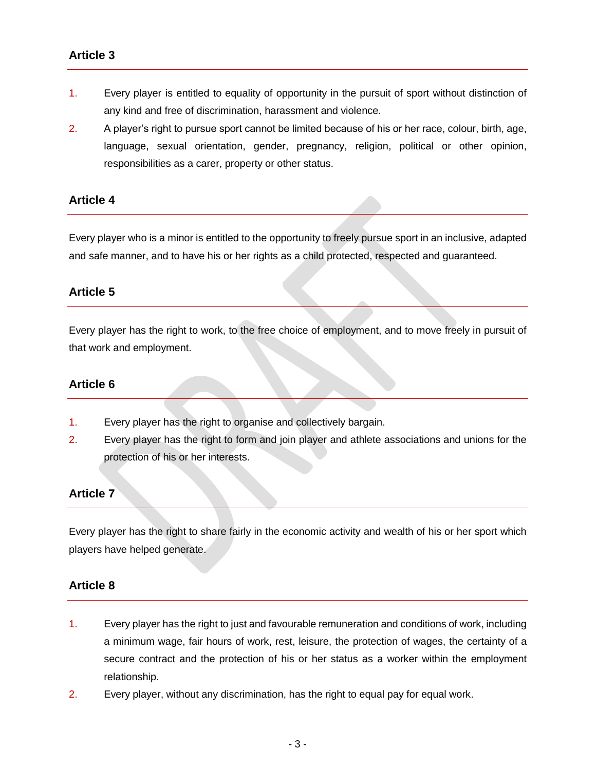- 1. Every player is entitled to equality of opportunity in the pursuit of sport without distinction of any kind and free of discrimination, harassment and violence.
- 2. A player's right to pursue sport cannot be limited because of his or her race, colour, birth, age, language, sexual orientation, gender, pregnancy, religion, political or other opinion, responsibilities as a carer, property or other status.

#### **Article 4**

Every player who is a minor is entitled to the opportunity to freely pursue sport in an inclusive, adapted and safe manner, and to have his or her rights as a child protected, respected and guaranteed.

#### **Article 5**

Every player has the right to work, to the free choice of employment, and to move freely in pursuit of that work and employment.

#### **Article 6**

- 1. Every player has the right to organise and collectively bargain.
- 2. Every player has the right to form and join player and athlete associations and unions for the protection of his or her interests.

## **Article 7**

Every player has the right to share fairly in the economic activity and wealth of his or her sport which players have helped generate.

#### **Article 8**

- 1. Every player has the right to just and favourable remuneration and conditions of work, including a minimum wage, fair hours of work, rest, leisure, the protection of wages, the certainty of a secure contract and the protection of his or her status as a worker within the employment relationship.
- 2. Every player, without any discrimination, has the right to equal pay for equal work.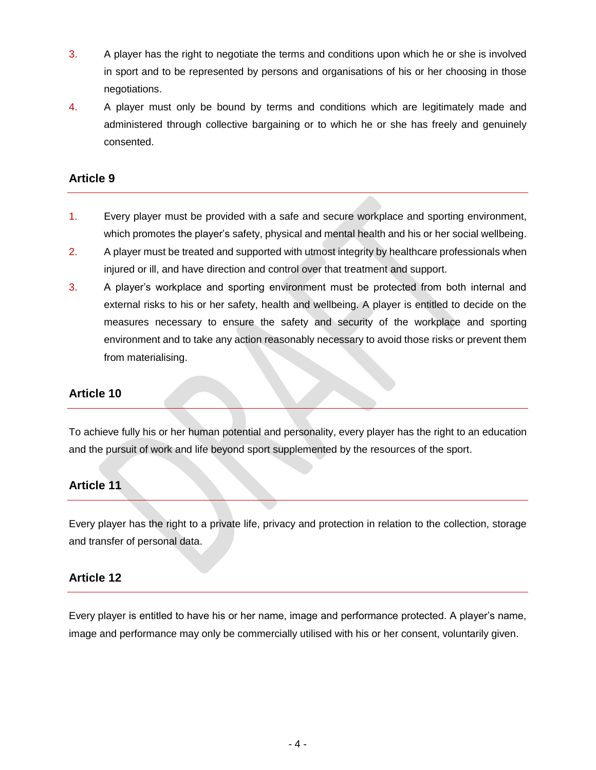- 3. A player has the right to negotiate the terms and conditions upon which he or she is involved in sport and to be represented by persons and organisations of his or her choosing in those negotiations.
- 4. A player must only be bound by terms and conditions which are legitimately made and administered through collective bargaining or to which he or she has freely and genuinely consented.

## **Article 9**

- 1. Every player must be provided with a safe and secure workplace and sporting environment, which promotes the player's safety, physical and mental health and his or her social wellbeing.
- 2. A player must be treated and supported with utmost integrity by healthcare professionals when injured or ill, and have direction and control over that treatment and support.
- 3. A player's workplace and sporting environment must be protected from both internal and external risks to his or her safety, health and wellbeing. A player is entitled to decide on the measures necessary to ensure the safety and security of the workplace and sporting environment and to take any action reasonably necessary to avoid those risks or prevent them from materialising.

## **Article 10**

To achieve fully his or her human potential and personality, every player has the right to an education and the pursuit of work and life beyond sport supplemented by the resources of the sport.

## **Article 11**

Every player has the right to a private life, privacy and protection in relation to the collection, storage and transfer of personal data.

## **Article 12**

Every player is entitled to have his or her name, image and performance protected. A player's name, image and performance may only be commercially utilised with his or her consent, voluntarily given.